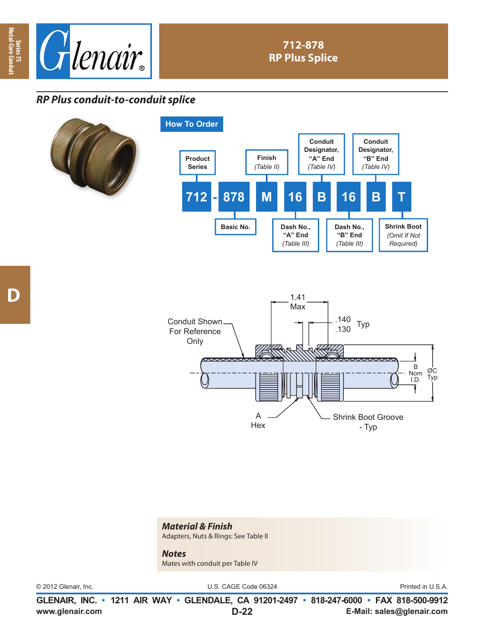



## **712-878 RP Plus Splice**

## *RP Plus conduit-to-conduit splice*







## *Material & Finish*  Adapters, Nuts & Rings: See Table II

*Notes*  Mates with conduit per Table IV

© 2012 Glenair, Inc. U.S. CAGE Code 06324 Printed in U.S.A.

**www.glenair.com E-Mail: sales@glenair.com GLENAIR, INC. • 1211 AIR WAY • GLENDALE, CA 91201-2497 • 818-247-6000 • FAX 818-500-9912 D-22**